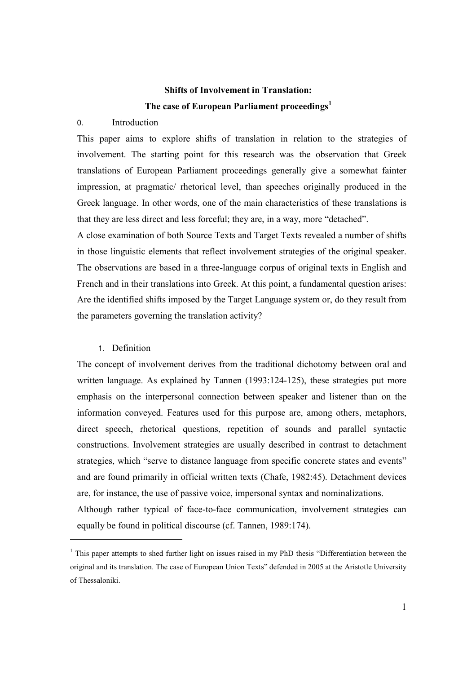## **Shifts of Involvement in Translation:** The case of European Parliament proceedings<sup>1</sup>

#### $\Omega$ Introduction

This paper aims to explore shifts of translation in relation to the strategies of involvement. The starting point for this research was the observation that Greek translations of European Parliament proceedings generally give a somewhat fainter impression, at pragmatic/ rhetorical level, than speeches originally produced in the Greek language. In other words, one of the main characteristics of these translations is that they are less direct and less forceful; they are, in a way, more "detached".

A close examination of both Source Texts and Target Texts revealed a number of shifts in those linguistic elements that reflect involvement strategies of the original speaker. The observations are based in a three-language corpus of original texts in English and French and in their translations into Greek. At this point, a fundamental question arises: Are the identified shifts imposed by the Target Language system or, do they result from the parameters governing the translation activity?

## 1. Definition

The concept of involvement derives from the traditional dichotomy between oral and written language. As explained by Tannen (1993:124-125), these strategies put more emphasis on the interpersonal connection between speaker and listener than on the information conveved. Features used for this purpose are, among others, metaphors, direct speech, rhetorical questions, repetition of sounds and parallel syntactic constructions. Involvement strategies are usually described in contrast to detachment strategies, which "serve to distance language from specific concrete states and events" and are found primarily in official written texts (Chafe, 1982:45). Detachment devices are, for instance, the use of passive voice, impersonal syntax and nominalizations.

Although rather typical of face-to-face communication, involvement strategies can equally be found in political discourse (cf. Tannen, 1989:174).

 $\frac{1}{2}$  This paper attempts to shed further light on issues raised in my PhD thesis "Differentiation between the original and its translation. The case of European Union Texts" defended in 2005 at the Aristotle University of Thessaloniki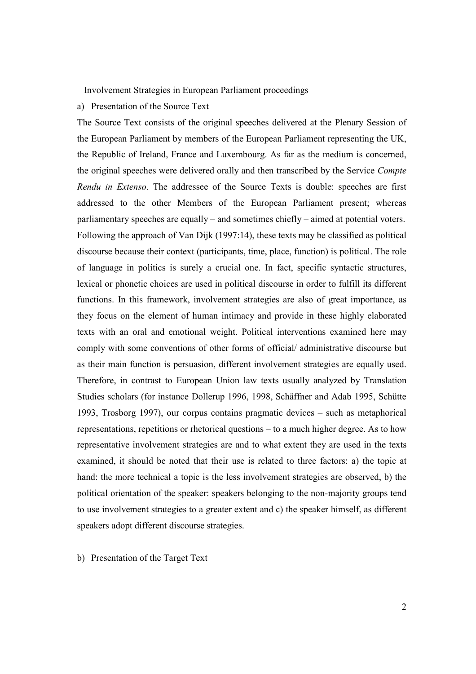Involvement Strategies in European Parliament proceedings

a) Presentation of the Source Text

The Source Text consists of the original speeches delivered at the Plenary Session of the European Parliament by members of the European Parliament representing the UK, the Republic of Ireland, France and Luxembourg. As far as the medium is concerned, the original speeches were delivered orally and then transcribed by the Service Compte Rendu in Extenso. The addressee of the Source Texts is double: speeches are first addressed to the other Members of the European Parliament present; whereas parliamentary speeches are equally – and sometimes chiefly – aimed at potential voters. Following the approach of Van Dijk (1997:14), these texts may be classified as political discourse because their context (participants, time, place, function) is political. The role of language in politics is surely a crucial one. In fact, specific syntactic structures, lexical or phonetic choices are used in political discourse in order to fulfill its different functions. In this framework, involvement strategies are also of great importance, as they focus on the element of human intimacy and provide in these highly elaborated texts with an oral and emotional weight. Political interventions examined here may comply with some conventions of other forms of official/administrative discourse but as their main function is persuasion, different involvement strategies are equally used. Therefore, in contrast to European Union law texts usually analyzed by Translation Studies scholars (for instance Dollerup 1996, 1998, Schäffner and Adab 1995, Schütte 1993. Trosborg 1997), our corpus contains pragmatic devices  $-$  such as metaphorical representations, repetitions or rhetorical questions – to a much higher degree. As to how representative involvement strategies are and to what extent they are used in the texts examined, it should be noted that their use is related to three factors: a) the topic at hand: the more technical a topic is the less involvement strategies are observed, b) the political orientation of the speaker: speakers belonging to the non-majority groups tend to use involvement strategies to a greater extent and c) the speaker himself, as different speakers adopt different discourse strategies.

b) Presentation of the Target Text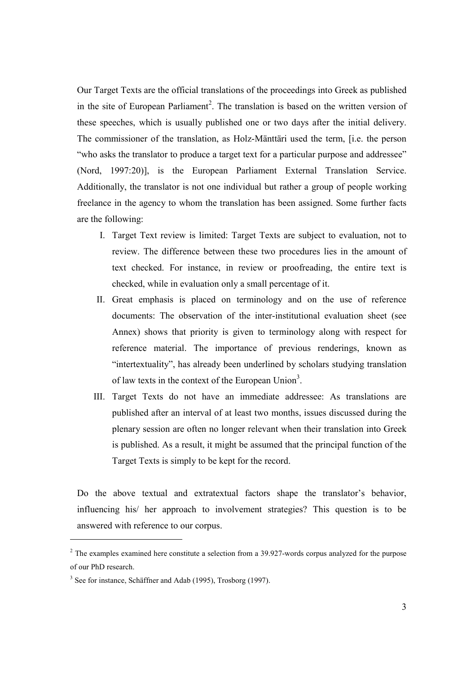Our Target Texts are the official translations of the proceedings into Greek as published in the site of European Parliament<sup>2</sup>. The translation is based on the written version of these speeches, which is usually published one or two days after the initial delivery. The commissioner of the translation, as Holz-Mänttäri used the term, [i.e. the person "who asks the translator to produce a target text for a particular purpose and addressee" (Nord, 1997:20)], is the European Parliament External Translation Service. Additionally, the translator is not one individual but rather a group of people working freelance in the agency to whom the translation has been assigned. Some further facts are the following:

- I. Target Text review is limited: Target Texts are subject to evaluation, not to review. The difference between these two procedures lies in the amount of text checked. For instance, in review or proofreading, the entire text is checked, while in evaluation only a small percentage of it.
- II. Great emphasis is placed on terminology and on the use of reference documents: The observation of the inter-institutional evaluation sheet (see Annex) shows that priority is given to terminology along with respect for reference material. The importance of previous renderings, known as "intertextuality", has already been underlined by scholars studying translation of law texts in the context of the European Union<sup>3</sup>.
- III. Target Texts do not have an immediate addressee: As translations are published after an interval of at least two months, issues discussed during the plenary session are often no longer relevant when their translation into Greek is published. As a result, it might be assumed that the principal function of the Target Texts is simply to be kept for the record.

Do the above textual and extratextual factors shape the translator's behavior, influencing his/ her approach to involvement strategies? This question is to be answered with reference to our corpus.

 $2$  The examples examined here constitute a selection from a 39.927-words corpus analyzed for the purpose of our PhD research.

 $3$  See for instance, Schäffner and Adab (1995), Trosborg (1997).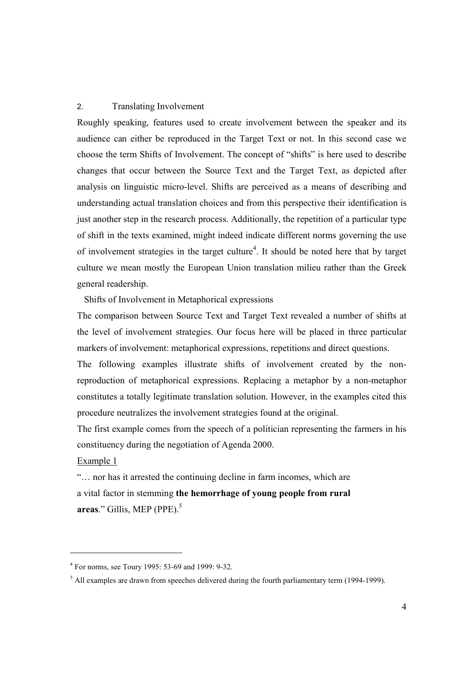#### $\mathcal{P}$ **Translating Involvement**

Roughly speaking, features used to create involvement between the speaker and its audience can either be reproduced in the Target Text or not. In this second case we choose the term Shifts of Involvement. The concept of "shifts" is here used to describe changes that occur between the Source Text and the Target Text, as depicted after analysis on linguistic micro-level. Shifts are perceived as a means of describing and understanding actual translation choices and from this perspective their identification is just another step in the research process. Additionally, the repetition of a particular type of shift in the texts examined, might indeed indicate different norms governing the use of involvement strategies in the target culture<sup>4</sup>. It should be noted here that by target culture we mean mostly the European Union translation milieu rather than the Greek general readership.

Shifts of Involvement in Metaphorical expressions

The comparison between Source Text and Target Text revealed a number of shifts at the level of involvement strategies. Our focus here will be placed in three particular markers of involvement: metaphorical expressions, repetitions and direct questions.

The following examples illustrate shifts of involvement created by the nonreproduction of metaphorical expressions. Replacing a metaphor by a non-metaphor constitutes a totally legitimate translation solution. However, in the examples cited this procedure neutralizes the involvement strategies found at the original.

The first example comes from the speech of a politician representing the farmers in his constituency during the negotiation of Agenda 2000.

Example 1

"... nor has it arrested the continuing decline in farm incomes, which are a vital factor in stemming the hemorrhage of young people from rural areas." Gillis, MEP (PPE). $5$ 

<sup>&</sup>lt;sup>4</sup> For norms, see Toury 1995: 53-69 and 1999: 9-32.

 $\frac{5}{1}$  All examples are drawn from speeches delivered during the fourth parliamentary term (1994-1999).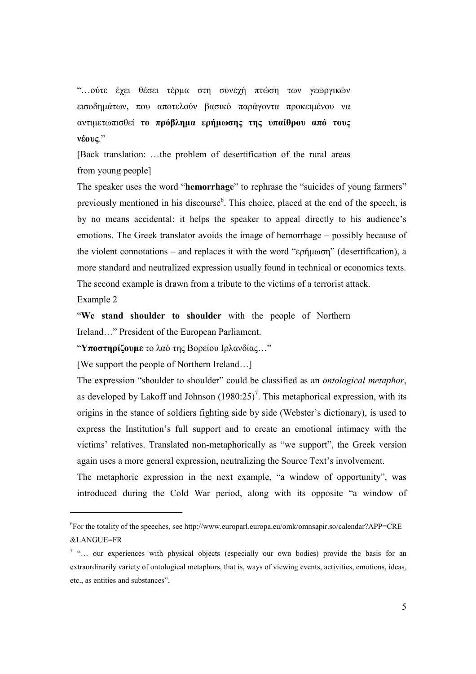"... ούτε έχει θέσει τέρμα στη συνεχή πτώση των γεωργικών εισοδημάτων, που αποτελούν βασικό παράγοντα προκειμένου να αντιμετωπισθεί το πρόβλημα ερήμωσης της υπαίθρου από τους  $v\acute{\epsilon}$ <sub>0</sub> $v$ <sup>"</sup>

[Back translation: ...the problem of desertification of the rural areas from young people]

The speaker uses the word "hemorrhage" to rephrase the "suicides of young farmers" previously mentioned in his discourse<sup>6</sup>. This choice, placed at the end of the speech, is by no means accidental: it helps the speaker to appeal directly to his audience's emotions. The Greek translator avoids the image of hemorrhage – possibly because of the violent connotations – and replaces it with the word " $\epsilon$ phuoron" (desertification), a more standard and neutralized expression usually found in technical or economics texts. The second example is drawn from a tribute to the victims of a terrorist attack.

Example  $2$ 

"We stand shoulder to shoulder with the people of Northern Ireland..." President of the European Parliament.

"Υποστηρίζουμε το λαό της Βορείου Ιρλανδίας..."

[We support the people of Northern Ireland...]

The expression "shoulder to shoulder" could be classified as an *ontological metaphor*, as developed by Lakoff and Johnson  $(1980:25)^7$ . This metaphorical expression, with its origins in the stance of soldiers fighting side by side (Webster's dictionary), is used to express the Institution's full support and to create an emotional intimacy with the victims' relatives. Translated non-metaphorically as "we support", the Greek version again uses a more general expression, neutralizing the Source Text's involvement.

The metaphoric expression in the next example, "a window of opportunity", was introduced during the Cold War period, along with its opposite "a window of

 ${}^6$ For the totality of the speeches, see http://www.europarl.europa.eu/omk/omnsapir.so/calendar?APP=CRE &LANGUE=FR

<sup>&</sup>lt;sup>7</sup> "... our experiences with physical objects (especially our own bodies) provide the basis for an extraordinarily variety of ontological metaphors, that is, ways of viewing events, activities, emotions, ideas, etc., as entities and substances".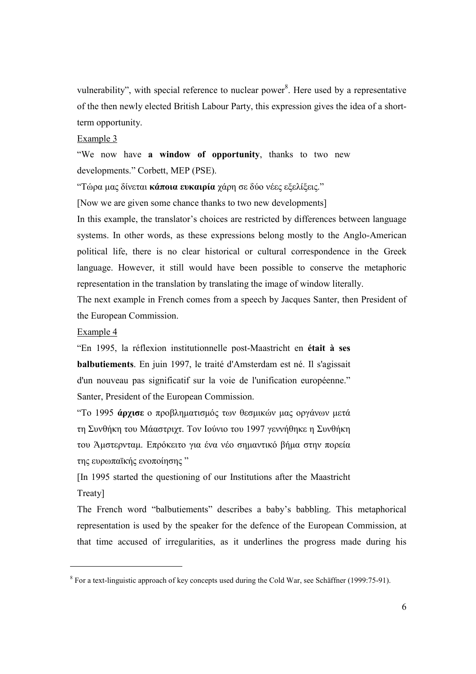vulnerability", with special reference to nuclear power<sup>8</sup>. Here used by a representative of the then newly elected British Labour Party, this expression gives the idea of a shortterm opportunity.

## Example 3

"We now have a window of opportunity, thanks to two new developments." Corbett, MEP (PSE).

"Τώρα μας δίνεται κάποια ευκαιρία χάρη σε δύο νέες εξελίξεις."

[Now we are given some chance thanks to two new developments]

In this example, the translator's choices are restricted by differences between language systems. In other words, as these expressions belong mostly to the Anglo-American political life, there is no clear historical or cultural correspondence in the Greek language. However, it still would have been possible to conserve the metaphoric representation in the translation by translating the image of window literally.

The next example in French comes from a speech by Jacques Santer, then President of the European Commission.

## Example 4

"En 1995, la réflexion institutionnelle post-Maastricht en était à ses balbutiements. En juin 1997, le traité d'Amsterdam est né. Il s'agissait d'un nouveau pas significatif sur la voie de l'unification européenne." Santer, President of the European Commission.

"Το 1995 άργισε ο προβληματισμός των θεσμικών μας οργάνων μετά τη Συνθήκη του Μάαστριχτ. Τον Ιούνιο του 1997 γεννήθηκε η Συνθήκη του Άμστερνταμ. Επρόκειτο για ένα νέο σημαντικό βήμα στην πορεία της ευρωπαϊκής ενοποίησης"

[In 1995 started the questioning of our Institutions after the Maastricht Treaty]

The French word "balbutiements" describes a baby's babbling. This metaphorical representation is used by the speaker for the defence of the European Commission, at that time accused of irregularities, as it underlines the progress made during his

 $8$  For a text-linguistic approach of key concepts used during the Cold War, see Schäffner (1999:75-91).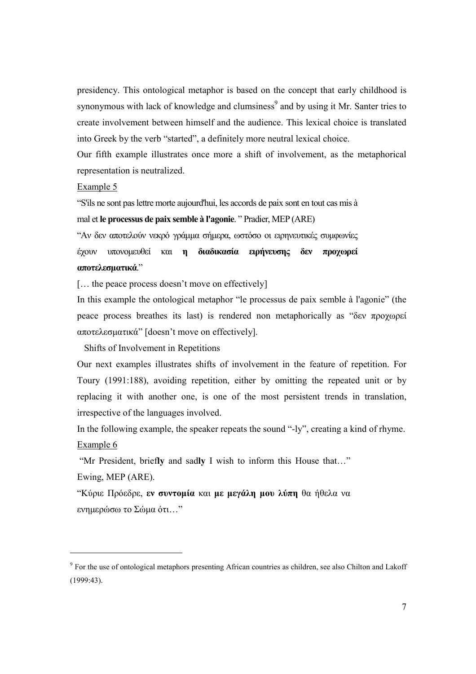presidency. This ontological metaphor is based on the concept that early childhood is synonymous with lack of knowledge and clumsiness<sup>9</sup> and by using it Mr. Santer tries to create involvement between himself and the audience. This lexical choice is translated into Greek by the verb "started", a definitely more neutral lexical choice.

Our fifth example illustrates once more a shift of involvement, as the metaphorical representation is neutralized.

#### Example  $5$

"S'ils ne sont pas lettre morte aujourd'hui, les accords de paix sont en tout cas mis à mal et le processus de paix semble à l'agonie. "Pradier, MEP (ARE)

"Αν δεν αποτελούν νεκρό γράμμα σήμερα, ωστόσο οι ειρηνευτικές συμφωνίες έχουν υπονομευθεί και η διαδικασία ειρήνευσης δεν προχωρεί

#### αποτελεσματικά."

[... the peace process doesn't move on effectively]

In this example the ontological metaphor "le processus de paix semble à l'agonie" (the peace process breathes its last) is rendered non metaphorically as " $\delta \epsilon v$   $\pi \rho o \gamma o \rho \epsilon i$ αποτελεσματικά" [doesn't move on effectively].

Shifts of Involvement in Repetitions

Our next examples illustrates shifts of involvement in the feature of repetition. For Toury (1991:188), avoiding repetition, either by omitting the repeated unit or by replacing it with another one, is one of the most persistent trends in translation, irrespective of the languages involved.

In the following example, the speaker repeats the sound "-ly", creating a kind of rhyme. Example 6

"Mr President, briefly and sadly I wish to inform this House that..."

Ewing, MEP (ARE).

"Κύριε Πρόεδρε, **εν συντομία** και με μεγάλη μου λύπη θα ήθελα να ενημερώσω το Σώμα ότι..."

<sup>&</sup>lt;sup>9</sup> For the use of ontological metaphors presenting African countries as children, see also Chilton and Lakoff  $(1999:43)$ .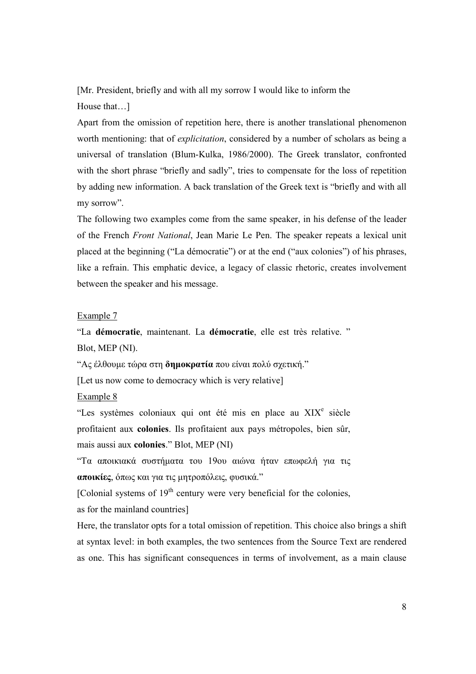[Mr. President, briefly and with all my sorrow I would like to inform the House that...

Apart from the omission of repetition here, there is another translational phenomenon worth mentioning: that of *explicitation*, considered by a number of scholars as being a universal of translation (Blum-Kulka, 1986/2000). The Greek translator, confronted with the short phrase "briefly and sadly", tries to compensate for the loss of repetition by adding new information. A back translation of the Greek text is "briefly and with all my sorrow".

The following two examples come from the same speaker, in his defense of the leader of the French Front National, Jean Marie Le Pen. The speaker repeats a lexical unit placed at the beginning ("La démocratie") or at the end ("aux colonies") of his phrases, like a refrain. This emphatic device, a legacy of classic rhetoric, creates involvement between the speaker and his message.

#### Example 7

"La démocratie, maintenant. La démocratie, elle est très relative." Blot, MEP (NI).

"Ας έλθουμε τώρα στη δημοκρατία που είναι πολύ σγετική."

[Let us now come to democracy which is very relative]

#### Example  $8$

"Les systèmes coloniaux qui ont été mis en place au XIX<sup>e</sup> siècle profitaient aux colonies. Ils profitaient aux pays métropoles, bien sûr, mais aussi aux colonies." Blot, MEP (NI)

"Τα αποικιακά συστήματα του 19ου αιώνα ήταν επωφελή για τις αποικίες, όπως και για τις μητροπόλεις, φυσικά."

[Colonial systems of  $19<sup>th</sup>$  century were very beneficial for the colonies,

as for the mainland countries]

Here, the translator opts for a total omission of repetition. This choice also brings a shift at syntax level: in both examples, the two sentences from the Source Text are rendered as one. This has significant consequences in terms of involvement, as a main clause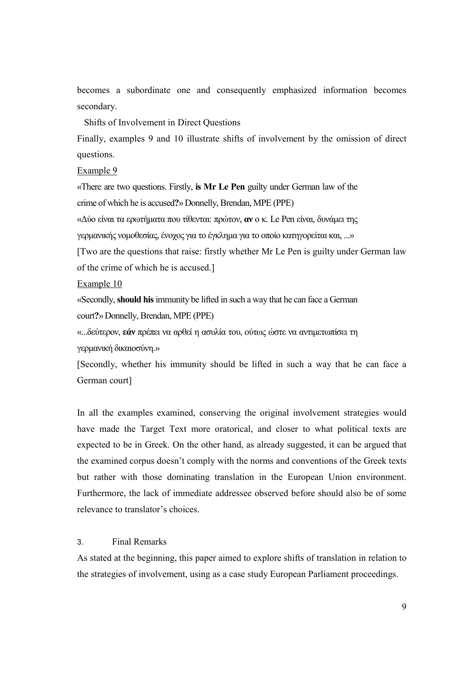becomes a subordinate one and consequently emphasized information becomes secondary.

Shifts of Involvement in Direct Ouestions

Finally, examples 9 and 10 illustrate shifts of involvement by the omission of direct questions.

Example 9

«There are two questions. Firstly, is Mr Le Pen guilty under German law of the

crime of which he is accused?» Donnelly, Brendan, MPE (PPE)

«Δύο είναι τα ερωτήματα που τίθενται: πρώτον, αν ο κ. Le Pen είναι, δυνάμει της

γερμανικής νομοθεσίας, ένοχος για το έγκλημα για το οποίο κατηγορείται και, ...»

[Two are the questions that raise: firstly whether Mr Le Pen is guilty under German law of the crime of which he is accused.

Example 10

«Secondly, should his immunity be lifted in such a way that he can face a German court?» Donnelly, Brendan, MPE (PPE)

«...δεύτερον, εάν πρέπει να αρθεί η ασυλία του, ούτως ώστε να αντιμετωπίσει τη γερμανική δικαιοσύνη.»

[Secondly, whether his immunity should be lifted in such a way that he can face a German court]

In all the examples examined, conserving the original involvement strategies would have made the Target Text more oratorical, and closer to what political texts are expected to be in Greek. On the other hand, as already suggested, it can be argued that the examined corpus doesn't comply with the norms and conventions of the Greek texts but rather with those dominating translation in the European Union environment. Furthermore, the lack of immediate addressee observed before should also be of some relevance to translator's choices.

#### $3<sub>l</sub>$ **Final Remarks**

As stated at the beginning, this paper aimed to explore shifts of translation in relation to the strategies of involvement, using as a case study European Parliament proceedings.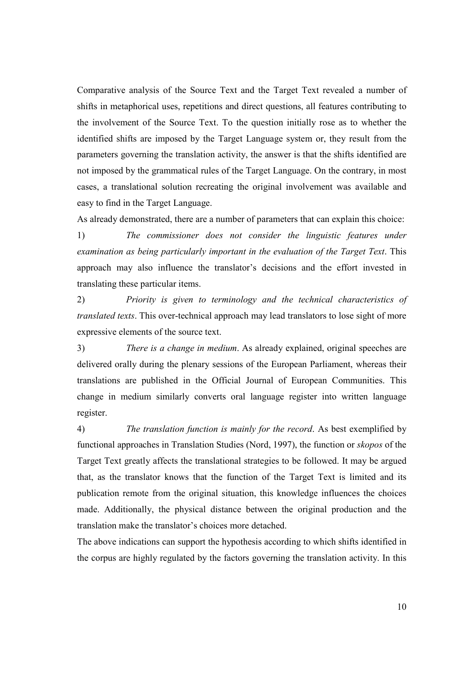Comparative analysis of the Source Text and the Target Text revealed a number of shifts in metaphorical uses, repetitions and direct questions, all features contributing to the involvement of the Source Text. To the question initially rose as to whether the identified shifts are imposed by the Target Language system or, they result from the parameters governing the translation activity, the answer is that the shifts identified are not imposed by the grammatical rules of the Target Language. On the contrary, in most cases, a translational solution recreating the original involvement was available and easy to find in the Target Language.

As already demonstrated, there are a number of parameters that can explain this choice:

The commissioner does not consider the linguistic features under  $1)$ examination as being particularly important in the evaluation of the Target Text. This approach may also influence the translator's decisions and the effort invested in translating these particular items.

2) Priority is given to terminology and the technical characteristics of *translated texts*. This over-technical approach may lead translators to lose sight of more expressive elements of the source text.

 $3)$ There is a change in medium. As already explained, original speeches are delivered orally during the plenary sessions of the European Parliament, whereas their translations are published in the Official Journal of European Communities. This change in medium similarly converts oral language register into written language register.

 $4)$ The translation function is mainly for the record. As best exemplified by functional approaches in Translation Studies (Nord, 1997), the function or *skopos* of the Target Text greatly affects the translational strategies to be followed. It may be argued that, as the translator knows that the function of the Target Text is limited and its publication remote from the original situation, this knowledge influences the choices made. Additionally, the physical distance between the original production and the translation make the translator's choices more detached.

The above indications can support the hypothesis according to which shifts identified in the corpus are highly regulated by the factors governing the translation activity. In this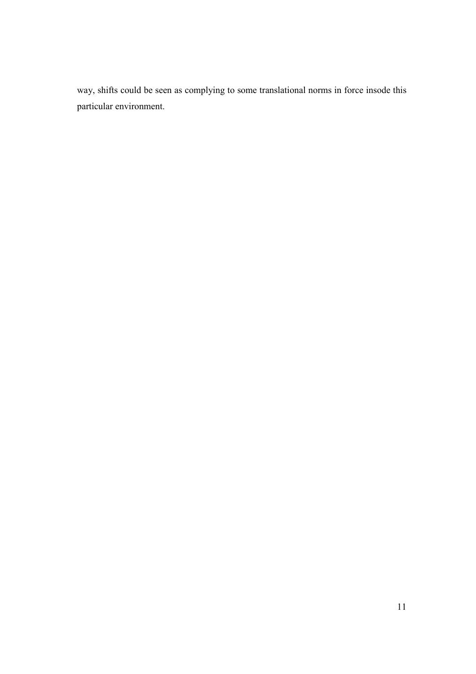way, shifts could be seen as complying to some translational norms in force insode this particular environment.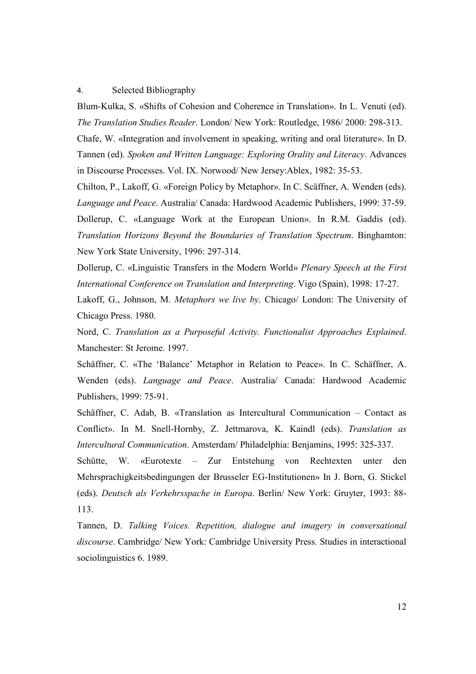#### $\overline{4}$ . Selected Bibliography

Blum-Kulka, S. «Shifts of Cohesion and Coherence in Translation». In L. Venuti (ed). The Translation Studies Reader. London/New York: Routledge, 1986/2000: 298-313.

Chafe, W. «Integration and involvement in speaking, writing and oral literature». In D. Tannen (ed). Spoken and Written Language: Exploring Orality and Literacy. Advances in Discourse Processes. Vol. IX. Norwood/New Jersey: Ablex, 1982: 35-53.

Chilton, P., Lakoff, G. «Foreign Policy by Metaphor». In C. Scäffner, A. Wenden (eds). Language and Peace. Australia/ Canada: Hardwood Academic Publishers, 1999: 37-59. Dollerup, C. «Language Work at the European Union». In R.M. Gaddis (ed). Translation Horizons Beyond the Boundaries of Translation Spectrum. Binghamton: New York State University, 1996: 297-314.

Dollerup, C. «Linguistic Transfers in the Modern World» Plenary Speech at the First International Conference on Translation and Interpreting. Vigo (Spain), 1998: 17-27.

Lakoff, G., Johnson, M. Metaphors we live by. Chicago/ London: The University of Chicago Press. 1980.

Nord, C. Translation as a Purposeful Activity. Functionalist Approaches Explained. Manchester: St Jerome, 1997.

Schäffner, C. «The 'Balance' Metaphor in Relation to Peace». In C. Schäffner, A. Wenden (eds). Language and Peace. Australia/ Canada: Hardwood Academic Publishers, 1999: 75-91.

Schäffner, C. Adab, B. «Translation as Intercultural Communication - Contact as Conflict». In M. Snell-Hornby, Z. Jettmarova, K. Kaindl (eds). Translation as Intercultural Communication. Amsterdam/ Philadelphia: Benjamins, 1995: 325-337.

Schütte, W. «Eurotexte – Zur Entstehung von Rechtexten unter den Mehrsprachigkeitsbedingungen der Brusseler EG-Institutionen» In J. Born, G. Stickel (eds). Deutsch als Verkehrsspache in Europa. Berlin/ New York: Gruyter, 1993: 88-113.

Tannen, D. Talking Voices. Repetition, dialogue and imagery in conversational discourse. Cambridge/ New York: Cambridge University Press. Studies in interactional sociolinguistics 6. 1989.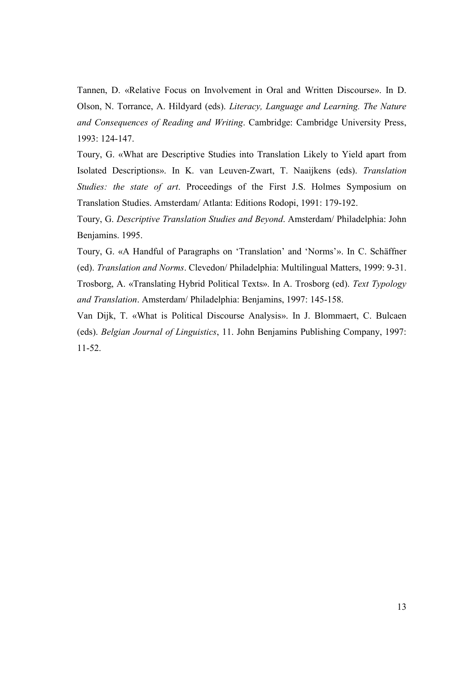Tannen, D. «Relative Focus on Involvement in Oral and Written Discourse». In D. Olson, N. Torrance, A. Hildyard (eds). Literacy, Language and Learning. The Nature and Consequences of Reading and Writing. Cambridge: Cambridge University Press, 1993: 124-147.

Toury, G. «What are Descriptive Studies into Translation Likely to Yield apart from Isolated Descriptions». In K. van Leuven-Zwart, T. Naaijkens (eds). Translation Studies: the state of art. Proceedings of the First J.S. Holmes Symposium on Translation Studies. Amsterdam/ Atlanta: Editions Rodopi, 1991: 179-192.

Toury, G. Descriptive Translation Studies and Beyond. Amsterdam/ Philadelphia: John Benjamins. 1995.

Toury, G. «A Handful of Paragraphs on 'Translation' and 'Norms'». In C. Schäffner (ed). Translation and Norms. Clevedon/ Philadelphia: Multilingual Matters, 1999: 9-31. Trosborg, A. «Translating Hybrid Political Texts». In A. Trosborg (ed). Text Typology and Translation. Amsterdam/ Philadelphia: Benjamins, 1997: 145-158.

Van Dijk, T. «What is Political Discourse Analysis». In J. Blommaert, C. Bulcaen (eds). Belgian Journal of Linguistics, 11. John Benjamins Publishing Company, 1997:  $11 - 52$ .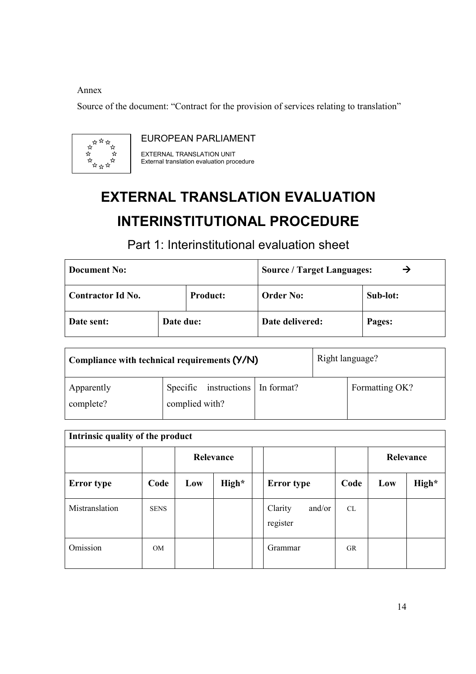## Annex

Source of the document: "Contract for the provision of services relating to translation"



**EUROPEAN PARLIAMENT** 

EXTERNAL TRANSLATION UNIT External translation evaluation procedure

# **EXTERNAL TRANSLATION EVALUATION INTERINSTITUTIONAL PROCEDURE**

Part 1: Interinstitutional evaluation sheet

| <b>Document No:</b> |           |                 | <b>Source / Target Languages:</b> |          |  |  |
|---------------------|-----------|-----------------|-----------------------------------|----------|--|--|
| Contractor Id No.   |           | <b>Product:</b> | <b>Order No:</b>                  | Sub-lot: |  |  |
| Date sent:          | Date due: |                 | Date delivered:                   | Pages:   |  |  |

| Compliance with technical requirements (Y/N) |                | Right language?                  |  |  |                |
|----------------------------------------------|----------------|----------------------------------|--|--|----------------|
| Apparently<br>complete?                      | complied with? | Specific instructions In format? |  |  | Formatting OK? |

| Intrinsic quality of the product |                |           |       |  |                               |           |           |       |  |  |
|----------------------------------|----------------|-----------|-------|--|-------------------------------|-----------|-----------|-------|--|--|
|                                  |                | Relevance |       |  |                               |           | Relevance |       |  |  |
| <b>Error</b> type                | Code           | Low       | High* |  | <b>Error type</b>             | Code      | Low       | High* |  |  |
| Mistranslation                   | <b>SENS</b>    |           |       |  | and/or<br>Clarity<br>register | <b>CL</b> |           |       |  |  |
| Omission                         | 0 <sub>M</sub> |           |       |  | Grammar                       | <b>GR</b> |           |       |  |  |